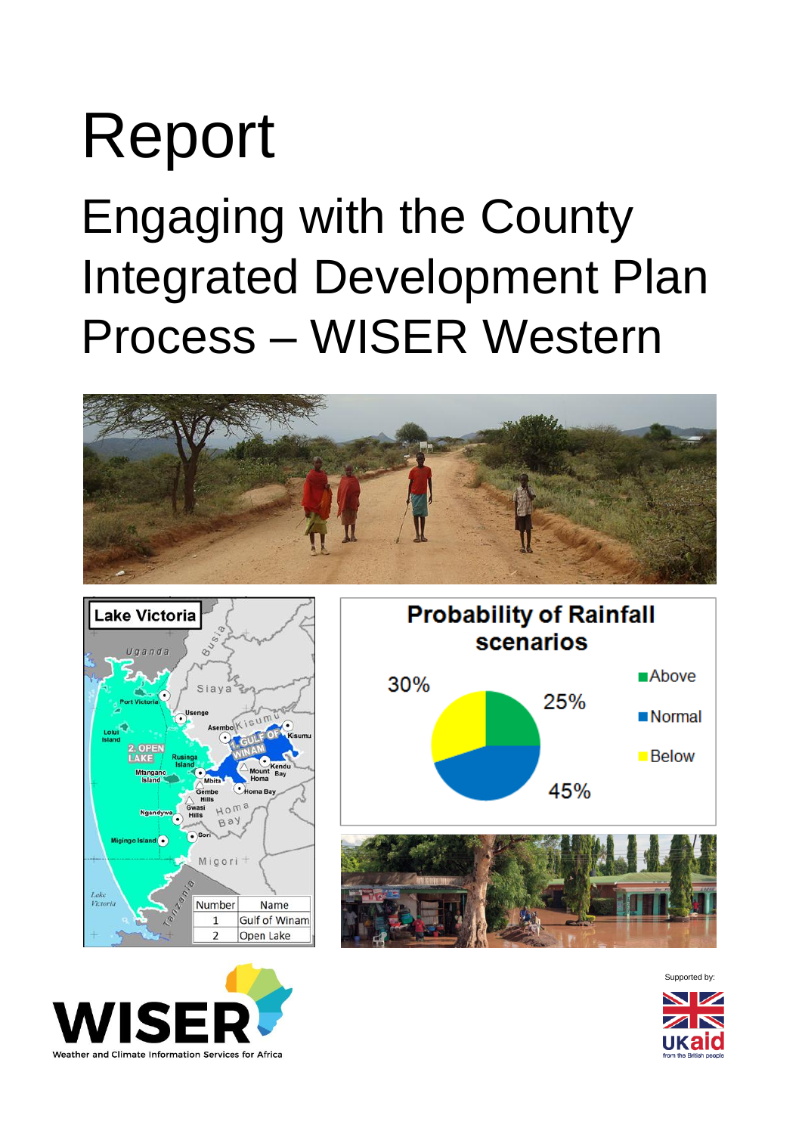# Report Engaging with the County Integrated Development Plan Process – WISER Western











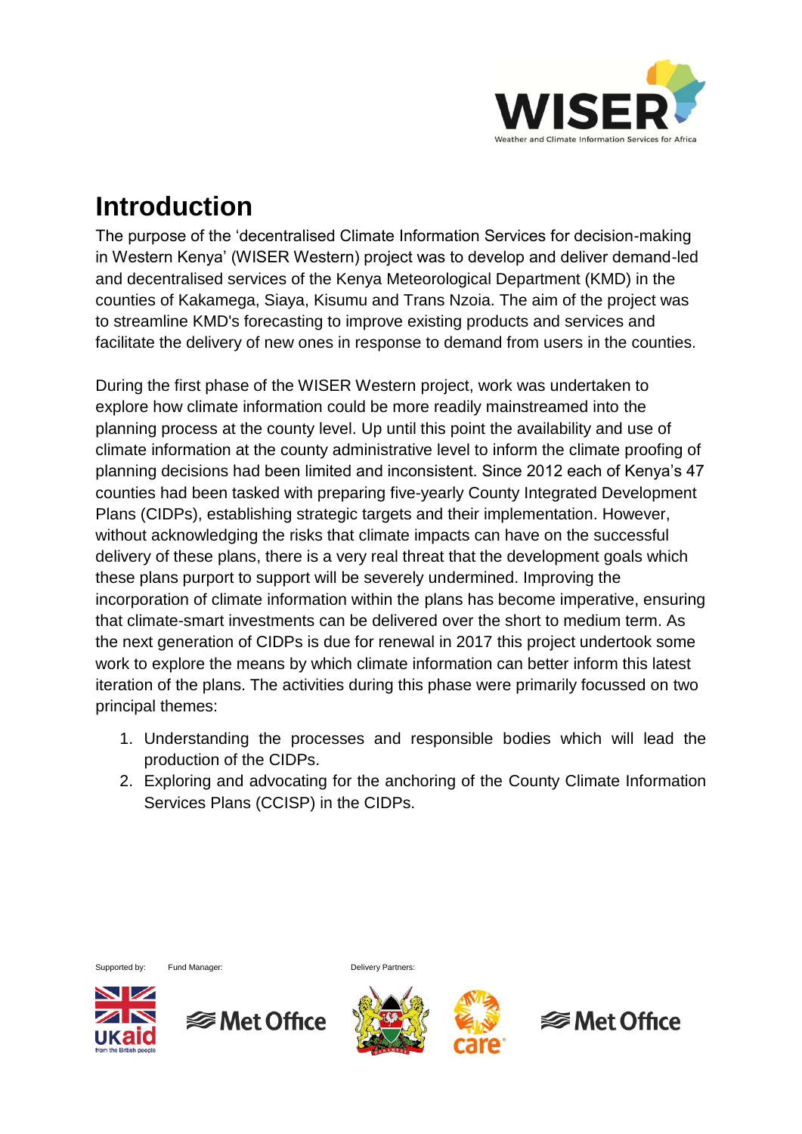

#### **Introduction**

The purpose of the 'decentralised Climate Information Services for decision-making in Western Kenya' (WISER Western) project was to develop and deliver demand-led and decentralised services of the Kenya Meteorological Department (KMD) in the counties of Kakamega, Siaya, Kisumu and Trans Nzoia. The aim of the project was to streamline KMD's forecasting to improve existing products and services and facilitate the delivery of new ones in response to demand from users in the counties.

During the first phase of the WISER Western project, work was undertaken to explore how climate information could be more readily mainstreamed into the planning process at the county level. Up until this point the availability and use of climate information at the county administrative level to inform the climate proofing of planning decisions had been limited and inconsistent. Since 2012 each of Kenya's 47 counties had been tasked with preparing five-yearly County Integrated Development Plans (CIDPs), establishing strategic targets and their implementation. However, without acknowledging the risks that climate impacts can have on the successful delivery of these plans, there is a very real threat that the development goals which these plans purport to support will be severely undermined. Improving the incorporation of climate information within the plans has become imperative, ensuring that climate-smart investments can be delivered over the short to medium term. As the next generation of CIDPs is due for renewal in 2017 this project undertook some work to explore the means by which climate information can better inform this latest iteration of the plans. The activities during this phase were primarily focussed on two principal themes:

- 1. Understanding the processes and responsible bodies which will lead the production of the CIDPs.
- 2. Exploring and advocating for the anchoring of the County Climate Information Services Plans (CCISP) in the CIDPs.



Supported by: Fund Manager: Communication of Delivery Partners:





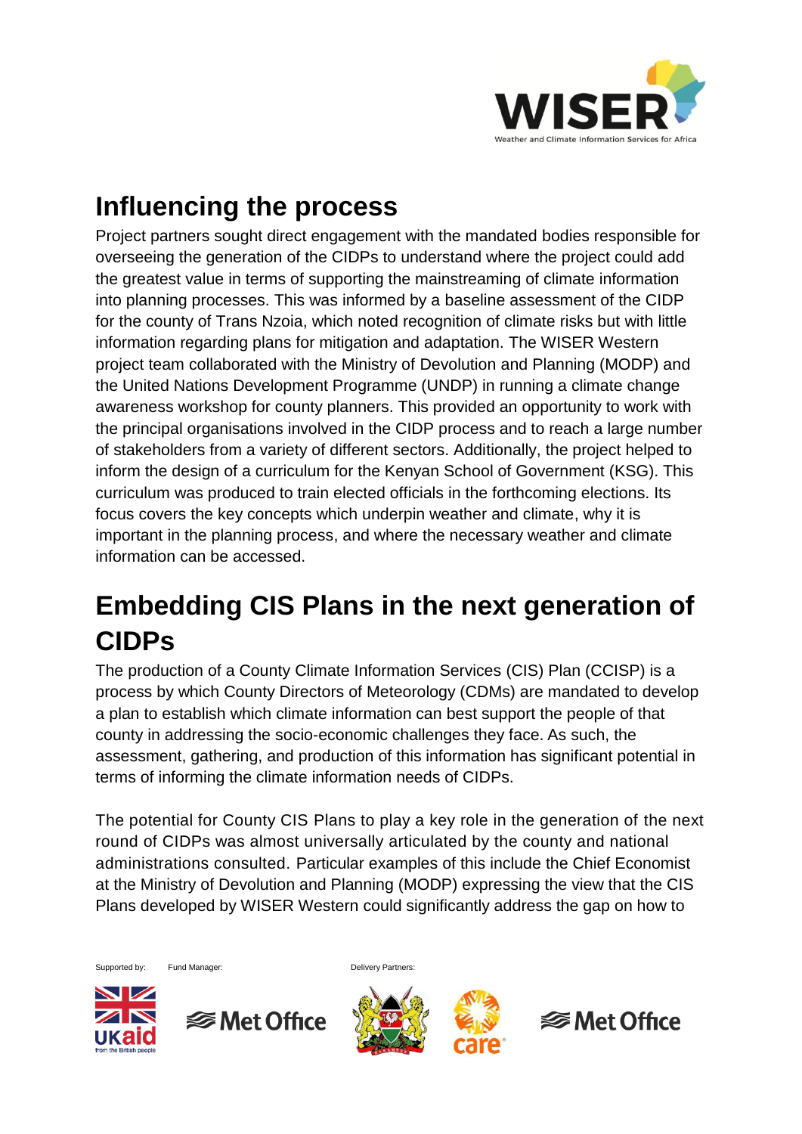

### **Influencing the process**

Project partners sought direct engagement with the mandated bodies responsible for overseeing the generation of the CIDPs to understand where the project could add the greatest value in terms of supporting the mainstreaming of climate information into planning processes. This was informed by a baseline assessment of the CIDP for the county of Trans Nzoia, which noted recognition of climate risks but with little information regarding plans for mitigation and adaptation. The WISER Western project team collaborated with the Ministry of Devolution and Planning (MODP) and the United Nations Development Programme (UNDP) in running a climate change awareness workshop for county planners. This provided an opportunity to work with the principal organisations involved in the CIDP process and to reach a large number of stakeholders from a variety of different sectors. Additionally, the project helped to inform the design of a curriculum for the Kenyan School of Government (KSG). This curriculum was produced to train elected officials in the forthcoming elections. Its focus covers the key concepts which underpin weather and climate, why it is important in the planning process, and where the necessary weather and climate information can be accessed.

# **Embedding CIS Plans in the next generation of CIDPs**

The production of a County Climate Information Services (CIS) Plan (CCISP) is a process by which County Directors of Meteorology (CDMs) are mandated to develop a plan to establish which climate information can best support the people of that county in addressing the socio-economic challenges they face. As such, the assessment, gathering, and production of this information has significant potential in terms of informing the climate information needs of CIDPs.

The potential for County CIS Plans to play a key role in the generation of the next round of CIDPs was almost universally articulated by the county and national administrations consulted. Particular examples of this include the Chief Economist at the Ministry of Devolution and Planning (MODP) expressing the view that the CIS Plans developed by WISER Western could significantly address the gap on how to

Supported by: Fund Manager: Communication of Delivery Partners: